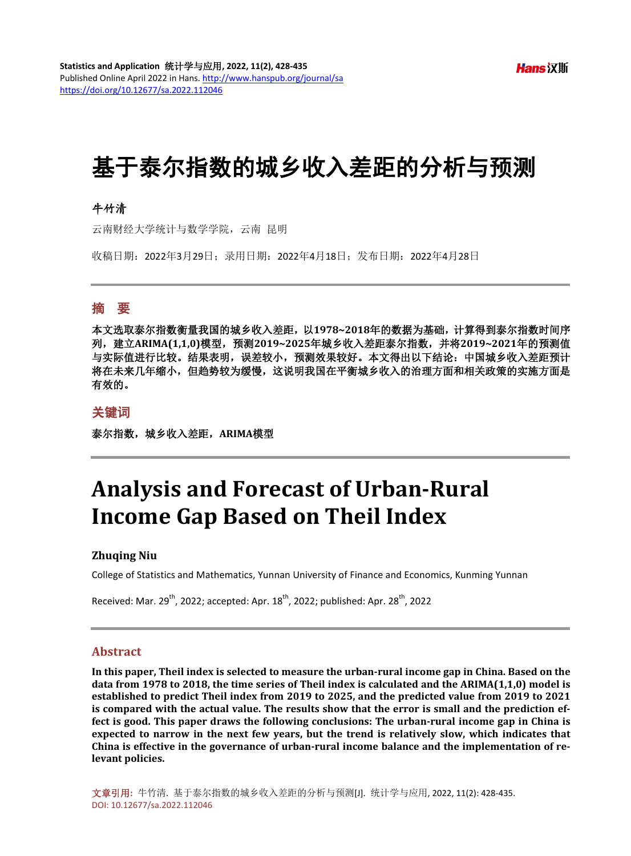# 基于泰尔指数的城乡收入差距的分析与预测

## 牛竹清

云南财经大学统计与数学学院,云南 昆明

收稿日期:2022年3月29日;录用日期:2022年4月18日;发布日期:2022年4月28日

## 摘 要

本文选取泰尔指数衡量我国的城乡收入差距,以**1978~2018**年的数据为基础,计算得到泰尔指数时间序 列,建立**ARIMA(1,1,0)**模型,预测**2019~2025**年城乡收入差距泰尔指数,并将**2019~2021**年的预测值 与实际值进行比较。结果表明,误差较小,预测效果较好。本文得出以下结论:中国城乡收入差距预计 将在未来几年缩小,但趋势较为缓慢,这说明我国在平衡城乡收入的治理方面和相关政策的实施方面是 有效的。

#### 关键词

泰尔指数,城乡收入差距,**ARIMA**模型

# **Analysis and Forecast of Urban-Rural Income Gap Based on Theil Index**

#### **Zhuqing Niu**

College of Statistics and Mathematics, Yunnan University of Finance and Economics, Kunming Yunnan

Received: Mar.  $29^{th}$ , 2022; accepted: Apr.  $18^{th}$ , 2022; published: Apr.  $28^{th}$ , 2022

#### **Abstract**

**In this paper, Theil index is selected to measure the urban-rural income gap in China. Based on the data from 1978 to 2018, the time series of Theil index is calculated and the ARIMA(1,1,0) model is established to predict Theil index from 2019 to 2025, and the predicted value from 2019 to 2021 is compared with the actual value. The results show that the error is small and the prediction effect is good. This paper draws the following conclusions: The urban-rural income gap in China is expected to narrow in the next few years, but the trend is relatively slow, which indicates that China is effective in the governance of urban-rural income balance and the implementation of relevant policies.**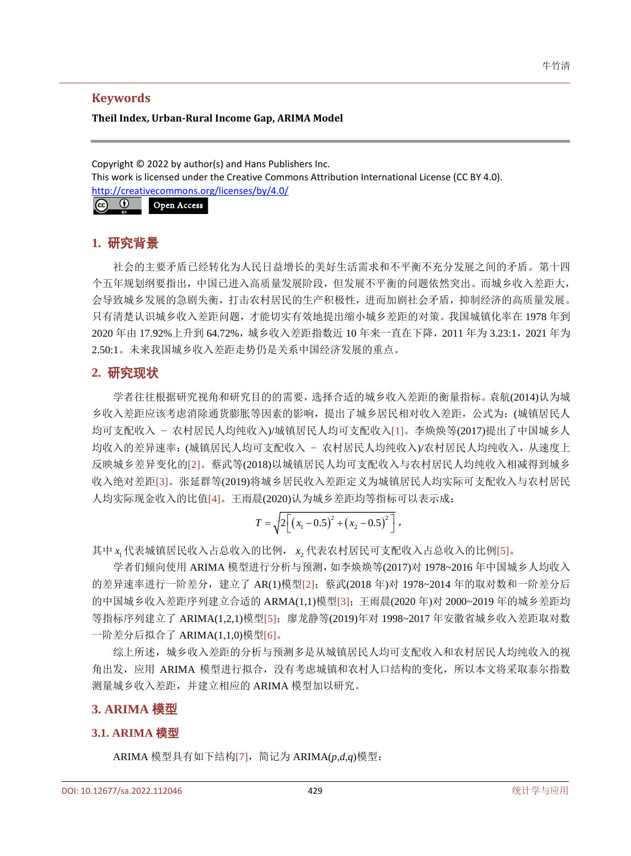### **Keywords**

#### **Theil Index, Urban-Rural Income Gap, ARIMA Model**

Copyright © 2022 by author(s) and Hans Publishers Inc. This work is licensed under the Creative Commons Attribution International License (CC BY 4.0). <http://creativecommons.org/licenses/by/4.0/>



# **1.** 研究背景

社会的主要矛盾已经转化为人民日益增长的美好生活需求和不平衡不充分发展之间的矛盾。第十四 个五年规划纲要指出,中国已进入高质量发展阶段,但发展不平衡的问题依然突出。而城乡收入差距大, 会导致城乡发展的急剧失衡,打击农村居民的生产积极性,进而加剧社会矛盾,抑制经济的高质量发展。 只有清楚认识城乡收入差距问题,才能切实有效地提出缩小城乡差距的对策。我国城镇化率在 1978 年到 2020 年由 17.92%上升到 64.72%,城乡收入差距指数近 10 年来一直在下降,2011 年为 3.23:1,2021 年为 2.50:1。未来我国城乡收入差距走势仍是关系中国经济发展的重点。

# **2.** 研究现状

学者往往根据研究视角和研究目的的需要,选择合适的城乡收入差距的衡量指标。袁航(2014)认为城 乡收入差距应该考虑消除通货膨胀等因素的影响,提出了城乡居民相对收入差距,公式为:(城镇居民人 均可支配收入 − 农村居民人均纯收入)/城镇居民人均可支配收入[\[1\]](#page-7-0)。李焕焕等(2017)提出了中国城乡人 均收入的差异速率:(城镇居民人均可支配收入 − 农村居民人均纯收入)/农村居民人均纯收入,从速度上 反映城乡差异变化的[\[2\]](#page-7-1)。蔡武等(2018)以城镇居民人均可支配收入与农村居民人均纯收入相减得到城乡 收入绝对差距[\[3\]](#page-7-2)。张延群等(2019)将城乡居民收入差距定义为城镇居民人均实际可支配收入与农村居民 人均实际现金收入的比值[\[4\]](#page-7-3)。王雨晨(2020)认为城乡差距均等指标可以表示成:

$$
T = \sqrt{2\bigg[\big(x_1 - 0.5\big)^2 + \big(x_2 - 0.5\big)^2\bigg]},
$$

其中 x 代表城镇居民收入占总收入的比例, x , 代表农村居民可支配收入占总收入的比例[\[5\]](#page-7-4)。

学者们倾向使用 ARIMA 模型进行分析与预测,如李焕焕等(2017)对 1978~2016 年中国城乡人均收入 的差异速率进行一阶差分,建立了 AR(1)模型[\[2\]](#page-7-1);蔡武(2018 年)对 1978~2014 年的取对数和一阶差分后 的中国城乡收入差距序列建立合适的 ARMA(1,1)模型[\[3\]](#page-7-2);王雨晨(2020 年)对 2000~2019 年的城乡差距均 等指标序列建立了 ARIMA(1,2,1)模型[\[5\]](#page-7-4);廖龙静等(2019)年对 1998~2017 年安徽省城乡收入差距取对数 一阶差分后拟合了 ARIMA(1,1,0)模型[\[6\]](#page-7-5)。

综上所述,城乡收入差距的分析与预测多是从城镇居民人均可支配收入和农村居民人均纯收入的视 角出发,应用 ARIMA 模型进行拟合,没有考虑城镇和农村人口结构的变化,所以本文将采取泰尔指数 测量城乡收入差距,并建立相应的 ARIMA 模型加以研究。

## **3. ARIMA** 模型

## **3.1. ARIMA** 模型

ARIMA 模型具有如下结构[\[7\]](#page-7-6),简记为 ARIMA(*p*,*d*,*q*)模型: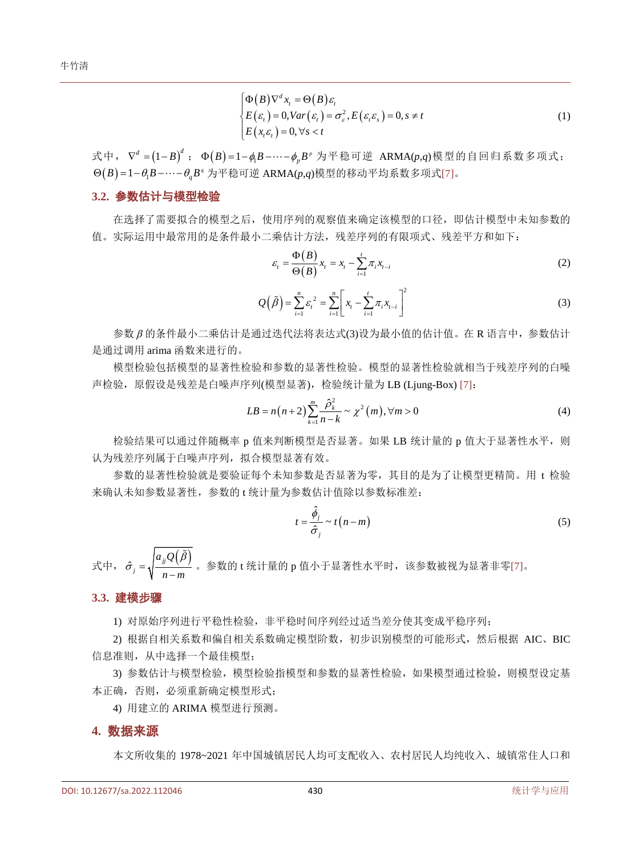$$
\begin{cases}\n\Phi(B)\nabla^d x_t = \Theta(B)\varepsilon_t \\
E(\varepsilon_t) = 0, \text{Var}(\varepsilon_t) = \sigma_\varepsilon^2, E(\varepsilon_t \varepsilon_s) = 0, s \neq t \\
E(x_t \varepsilon_t) = 0, \forall s < t\n\end{cases} \tag{1}
$$

式中,  $\nabla^d = (1 - B)^d$ ;  $Φ(B) = 1 - φ_B - … - φ_B -$  为平稳可逆 ARMA(*p*,*q*)模型的自回归系数多项式;  $\Theta(B) = 1 - \theta_1 B - \cdots - \theta_n B^q$  为平稳可逆 ARMA(p,q)模型的移动平均系数多项式[\[7\]](#page-7-6)。

#### **3.2.** 参数估计与模型检验

在选择了需要拟合的模型之后,使用序列的观察值来确定该模型的口径,即估计模型中未知参数的 值。实际运用中最常用的是条件最小二乘估计方法,残差序列的有限项式、残差平方和如下:

$$
\varepsilon_{t} = \frac{\Phi(B)}{\Theta(B)} x_{t} = x_{t} - \sum_{i=1}^{t} \pi_{i} x_{t-i}
$$
\n(2)

$$
Q(\tilde{\beta}) = \sum_{i=1}^{n} \varepsilon_i^2 = \sum_{i=1}^{n} \left[ x_i - \sum_{i=1}^{t} \pi_i x_{i-i} \right]^2
$$
 (3)

参数 β 的条件最小二乘估计是通过迭代法将表达式(3)设为最小值的估计值。在 R 语言中,参数估计 是通过调用 arima 函数来进行的。

模型检验包括模型的显著性检验和参数的显著性检验。模型的显著性检验就相当于残差序列的白噪 声检验,原假设是残差是白噪声序列(模型显著),检验统计量为 LB (Ljung-Box) [\[7\]](#page-7-6):

$$
LB = n(n+2) \sum_{k=1}^{m} \frac{\hat{\rho}_k^2}{n-k} \sim \chi^2(m), \forall m > 0
$$
 (4)

检验结果可以通过伴随概率 p 值来判断模型是否显著。如果 LB 统计量的 p 值大于显著性水平, 则 认为残差序列属于白噪声序列,拟合模型显著有效。

参数的显著性检验就是要验证每个未知参数是否显著为零,其目的是为了让模型更精简。用 t 检验 来确认未知参数显著性,参数的 t 统计量为参数估计值除以参数标准差:

$$
t = \frac{\hat{\phi}_j}{\hat{\sigma}_j} \sim t(n-m)
$$
\n(5)

式中,  $\hat{\sigma}_j = \sqrt{\frac{a_{jj}Q(\beta)}{n}}$  $a_{ii}Q$  $n - m$ β  $\hat{\sigma}_j = \sqrt{\frac{m}{n-1}}$ ĝ 。参数的 t 统计量的 p 值小于显著性水平时, 该参数被视为显著非零[\[7\]](#page-7-6)。

#### **3.3.** 建模步骤

1) 对原始序列进行平稳性检验, 非平稳时间序列经过适当差分使其变成平稳序列;

2) 根据自相关系数和偏自相关系数确定模型阶数,初步识别模型的可能形式,然后根据 AIC、BIC 信息准则,从中选择一个最佳模型;

3) 参数估计与模型检验,模型检验指模型和参数的显著性检验,如果模型通过检验,则模型设定基 本正确,否则,必须重新确定模型形式;

4) 用建立的 ARIMA 模型进行预测。

#### **4.** 数据来源

本文所收集的 1978~2021 年中国城镇居民人均可支配收入、农村居民人均纯收入、城镇常住人口和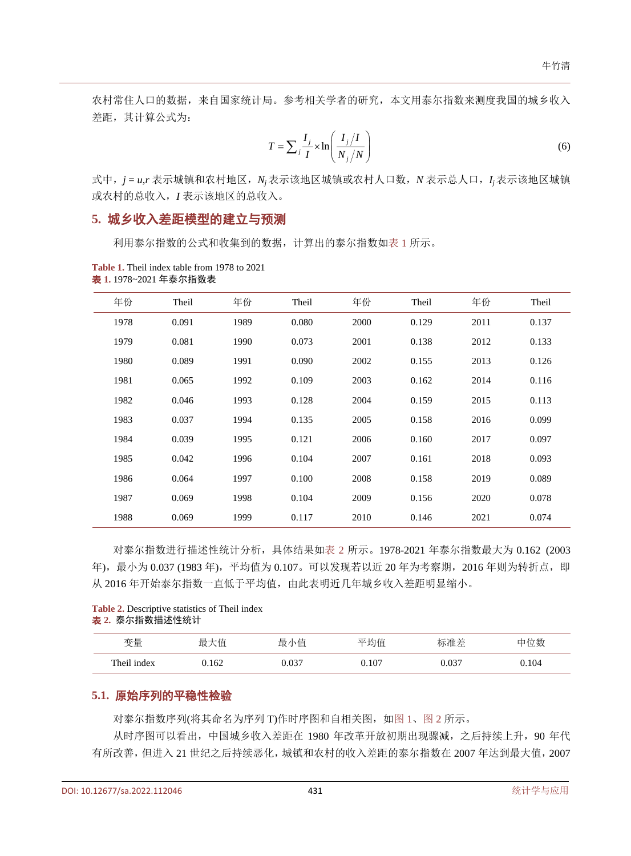农村常住人口的数据,来自国家统计局。参考相关学者的研究,本文用泰尔指数来测度我国的城乡收入 差距,其计算公式为:

$$
T = \sum_{j} \frac{I_j}{I} \times \ln\left(\frac{I_j}{N_j/N}\right) \tag{6}
$$

式中,*j* = *u*,*r* 表示城镇和农村地区,*Nj* 表示该地区城镇或农村人口数,*N* 表示总人口,*Ij* 表示该地区城镇 或农村的总收入,*I* 表示该地区的总收入。

# **5.** 城乡收入差距模型的建立与预测

利用泰尔指数的公式和收集到的数据,计算出的泰尔指数[如表](#page-3-0) 1 所示。

| 年份   | Theil | 年份   | Theil | 年份   | Theil | 年份   | Theil |
|------|-------|------|-------|------|-------|------|-------|
| 1978 | 0.091 | 1989 | 0.080 | 2000 | 0.129 | 2011 | 0.137 |
| 1979 | 0.081 | 1990 | 0.073 | 2001 | 0.138 | 2012 | 0.133 |
| 1980 | 0.089 | 1991 | 0.090 | 2002 | 0.155 | 2013 | 0.126 |
| 1981 | 0.065 | 1992 | 0.109 | 2003 | 0.162 | 2014 | 0.116 |
| 1982 | 0.046 | 1993 | 0.128 | 2004 | 0.159 | 2015 | 0.113 |
| 1983 | 0.037 | 1994 | 0.135 | 2005 | 0.158 | 2016 | 0.099 |
| 1984 | 0.039 | 1995 | 0.121 | 2006 | 0.160 | 2017 | 0.097 |
| 1985 | 0.042 | 1996 | 0.104 | 2007 | 0.161 | 2018 | 0.093 |
| 1986 | 0.064 | 1997 | 0.100 | 2008 | 0.158 | 2019 | 0.089 |
| 1987 | 0.069 | 1998 | 0.104 | 2009 | 0.156 | 2020 | 0.078 |
| 1988 | 0.069 | 1999 | 0.117 | 2010 | 0.146 | 2021 | 0.074 |

<span id="page-3-0"></span>**Table 1.** Theil index table from 1978 to 2021 表 **1.** 1978~2021 年泰尔指数表

对泰尔指数进行描述性统计分析,具体结果[如表](#page-3-1) 2 所示。1978-2021 年泰尔指数最大为 0.162 (2003 年),最小为 0.037 (1983年),平均值为 0.107。可以发现若以近 20 年为考察期, 2016 年则为转折点, 即 从 2016年开始泰尔指数一直低于平均值,由此表明近几年城乡收入差距明显缩小。

#### <span id="page-3-1"></span>**Table 2.** Descriptive statistics of Theil index 表 **2.** 泰尔指数描述性统计

| 变量          | 最<br>大值 | 小值<br>最 | 平均值   | 标准差   | 位数<br>口 |
|-------------|---------|---------|-------|-------|---------|
| Theil index | 0.162   | J.037   | 0.107 | 0.037 | 0.104   |

## **5.1.** 原始序列的平稳性检验

对泰尔指数序列(将其命名为序列 T)作时序图和自相关图, [如图](#page-4-0) 1[、图](#page-4-1) 2 所示。

从时序图可以看出,中国城乡收入差距在 1980 年改革开放初期出现骤减,之后持续上升,90 年代 有所改善,但进入 21 世纪之后持续恶化,城镇和农村的收入差距的泰尔指数在 2007 年达到最大值,2007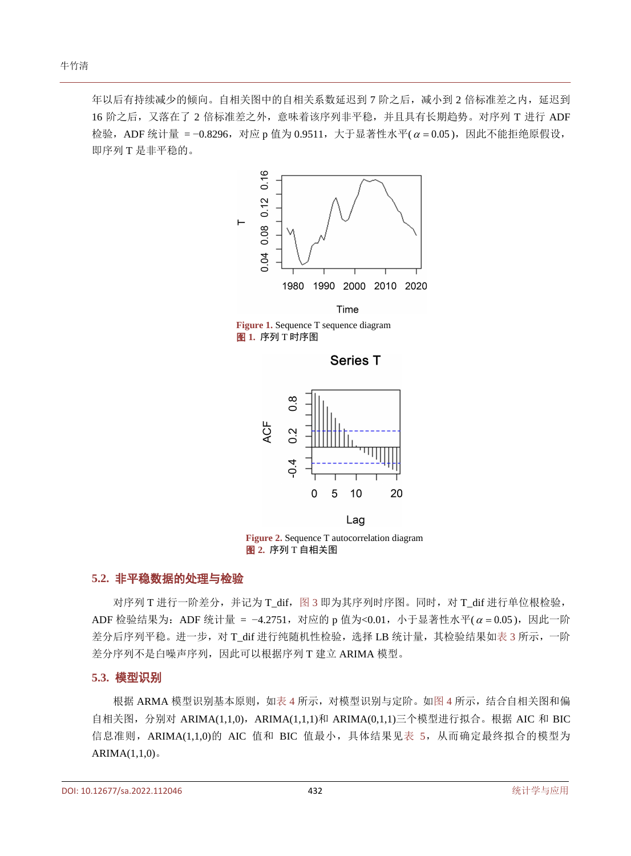<span id="page-4-0"></span>年以后有持续减少的倾向。自相关图中的自相关系数延迟到 7 阶之后,减小到 2 倍标准差之内, 延迟到 16 阶之后,又落在了 2 倍标准差之外,意味着该序列非平稳,并且具有长期趋势。对序列 T 进行 ADF 检验, ADF 统计量 = −0.8296, 对应 p 值为 0.9511, 大于显著性水平(α = 0.05), 因此不能拒绝原假设, 即序列 T 是非平稳的。



<span id="page-4-1"></span>**Figure 1.** Sequence T sequence diagram 图 **1.** 序列 T 时序图

**Series T** 



Lag **Figure 2.** Sequence T autocorrelation diagram 图 **2.** 序列 T 自相关图

### **5.2.** 非平稳数据的处理与检验

对序列 T 进行一阶差分, 并记为 T\_dif, 图 3 即为其序列时序图。同时, 对 T\_dif 进行单位根检验, ADF 检验结果为: ADF 统计量 = −4.2751, 对应的 p 值为<0.01, 小于显著性水平( $\alpha$  = 0.05), 因此一阶 差分后序列平稳。进一步,对 T\_dif 进行纯随机性检验,选择 LB 统计量,其检验结果[如表](#page-5-1) 3 所示,一阶 差分序列不是白噪声序列,因此可以根据序列 T 建立 ARIMA 模型。

#### **5.3.** 模型识别

根据 ARMA 模型识别基本原则, [如表](#page-5-2) 4 所示, 对模型识别与定阶。[如图](#page-5-3) 4 所示, 结合自相关图和偏 自相关图, 分别对 ARIMA(1,1,0), ARIMA(1,1,1)和 ARIMA(0,1,1)三个模型进行拟合。根据 AIC 和 BIC 信息准则, ARIMA(1,1,0)的 AIC 值和 BIC 值最小, 具体结果[见表](#page-5-4) 5, 从而确定最终拟合的模型为  $ARIMA(1,1,0)$ 。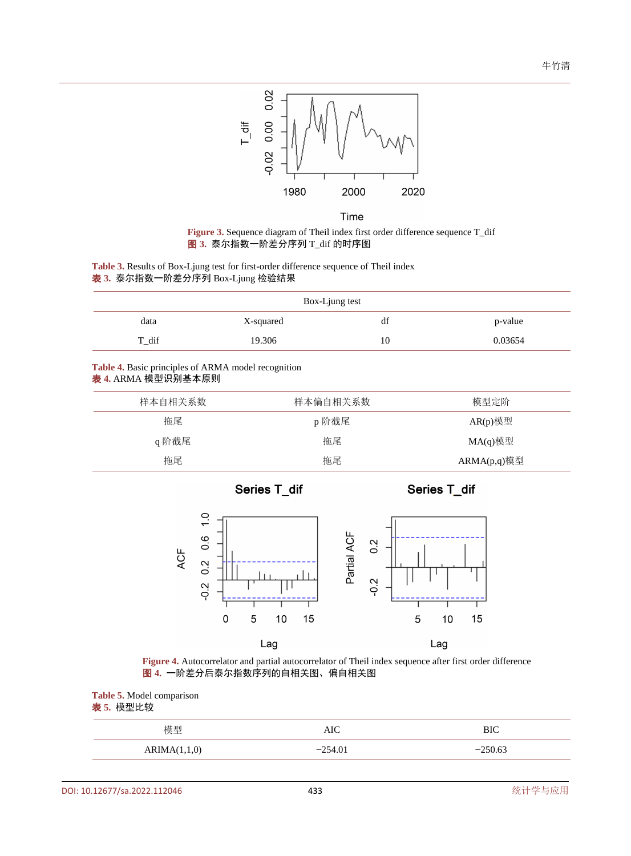





<span id="page-5-1"></span><span id="page-5-0"></span>**Table 3.** Results of Box-Ljung test for first-order difference sequence of Theil index 表 **3.** 泰尔指数一阶差分序列 Box-Ljung 检验结果

| Box-Ljung test |           |    |         |  |  |
|----------------|-----------|----|---------|--|--|
| data           | X-squared | df | p-value |  |  |
| T dif          | 19.306    | 10 | 0.03654 |  |  |

#### <span id="page-5-2"></span>**Table 4.** Basic principles of ARMA model recognition 表 **4.** ARMA 模型识别基本原则

<span id="page-5-3"></span>

| 样本自相关系数 | 样本偏自相关系数 | 模型定阶           |
|---------|----------|----------------|
| 拖尾      | p阶截尾     | AR(p)模型        |
| q阶截尾    | 拖尾       | MA(q)模型        |
| 拖尾      | 拖尾       | $ARMA(p,q)$ 模型 |
|         |          |                |

Series T\_dif

Series T\_dif



**Figure 4.** Autocorrelator and partial autocorrelator of Theil index sequence after first order difference 图 **4.** 一阶差分后泰尔指数序列的自相关图、偏自相关图

<span id="page-5-4"></span>**Table 5.** Model comparison 表 **5.** 模型比较

| 模型           | AIC       | <b>BIC</b> |
|--------------|-----------|------------|
| ARIMA(1,1,0) | $-254.01$ | $-250.63$  |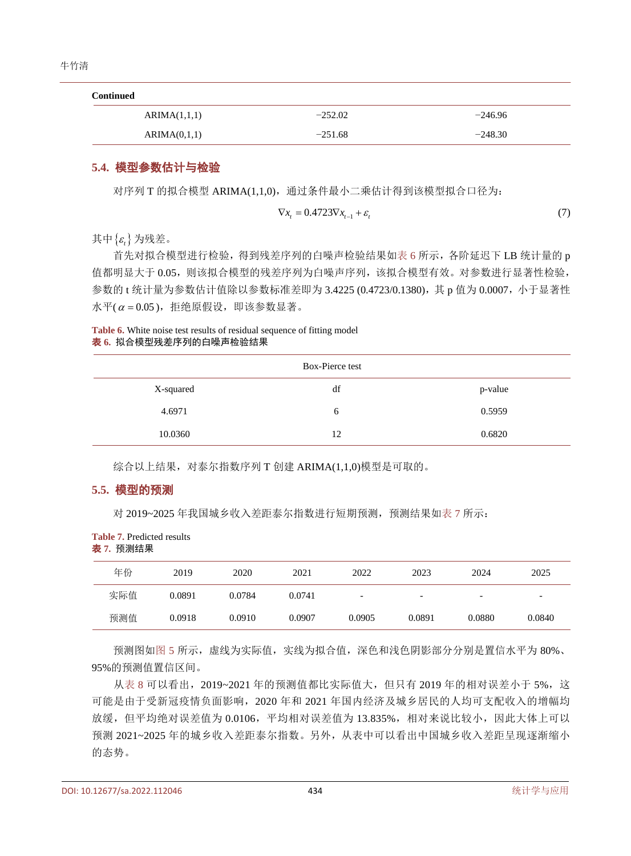| <b>Continued</b> |           |           |  |  |  |
|------------------|-----------|-----------|--|--|--|
| ARIMA(1,1,1)     | $-252.02$ | $-246.96$ |  |  |  |
| ARIMA(0,1,1)     | $-251.68$ | $-248.30$ |  |  |  |

### **5.4.** 模型参数估计与检验

对序列 T 的拟合模型 ARIMA(1,1,0), 通过条件最小二乘估计得到该模型拟合口径为:

$$
\nabla x_t = 0.4723 \nabla x_{t-1} + \varepsilon_t \tag{7}
$$

其中{<sup>ε</sup> *<sup>t</sup>*} 为残差。

首先对拟合模型进行检验,得到残差序列的白噪声检验结果[如表](#page-6-0) 6 所示,各阶延迟下 LB 统计量的 p 值都明显大于 0.05,则该拟合模型的残差序列为白噪声序列,该拟合模型有效。对参数进行显著性检验, 参数的 t 统计量为参数估计值除以参数标准差即为 3.4225 (0.4723/0.1380),其 p 值为 0.0007,小于显著性 水平( $\alpha$  = 0.05), 拒绝原假设, 即该参数显著。

<span id="page-6-0"></span>

| <b>Table 6.</b> White noise test results of residual sequence of fitting model |  |
|--------------------------------------------------------------------------------|--|
| 表 6. 拟合模型残差序列的白噪声检验结果                                                          |  |

| Box-Pierce test |    |         |  |  |
|-----------------|----|---------|--|--|
| X-squared       | df | p-value |  |  |
| 4.6971          | 6  | 0.5959  |  |  |
| 10.0360         | 12 | 0.6820  |  |  |

综合以上结果,对泰尔指数序列 T 创建 ARIMA(1,1,0)模型是可取的。

# **5.5.** 模型的预测

对 2019~2025 年我国城乡收入差距泰尔指数进行短期预测,预测结果[如表](#page-6-1) 7 所示:

<span id="page-6-1"></span>

| <b>Table 7. Predicted results</b> |
|-----------------------------------|
| 表 7. 预测结果                         |

| 年份  | 2019   | 2020   | 2021   | 2022                     | 2023                     | 2024                     | 2025                     |
|-----|--------|--------|--------|--------------------------|--------------------------|--------------------------|--------------------------|
| 实际值 | 0.0891 | 0.0784 | 0.0741 | $\overline{\phantom{0}}$ | $\overline{\phantom{0}}$ | $\overline{\phantom{0}}$ | $\overline{\phantom{0}}$ |
| 预测值 | 0.0918 | 0.0910 | 0.0907 | 0.0905                   | 0.0891                   | 0.0880                   | 0.0840                   |

预测图[如图](#page-7-7) 5 所示,虚线为实际值,实线为拟合值,深色和浅色阴影部分分别是置信水平为 80%、 95%的预测值置信区间。

[从表](#page-7-8) 8 可以看出, 2019~2021 年的预测值都比实际值大, 但只有 2019 年的相对误差小于 5%, 这 可能是由于受新冠疫情负面影响,2020 年和 2021 年国内经济及城乡居民的人均可支配收入的增幅均 放缓,但平均绝对误差值为 0.0106,平均相对误差值为 13.835%,相对来说比较小,因此大体上可以 预测 2021~2025 年的城乡收入差距泰尔指数。另外,从表中可以看出中国城乡收入差距呈现逐渐缩小 的态势。